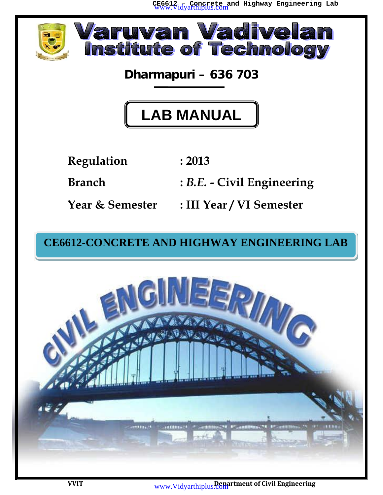**CE6612 – Concrete and Highway Engineering Lab** www.Vidyarthiplus.com



**Dharmapuri – 636 703**

# **LAB MANUAL**

**Regulation : 2013**

**Branch :** *B.E.* **- Civil Engineering**

**Year & Semester : III Year / VI Semester**

## **CE6612-CONCRETE AND HIGHWAY ENGINEERING LAB**

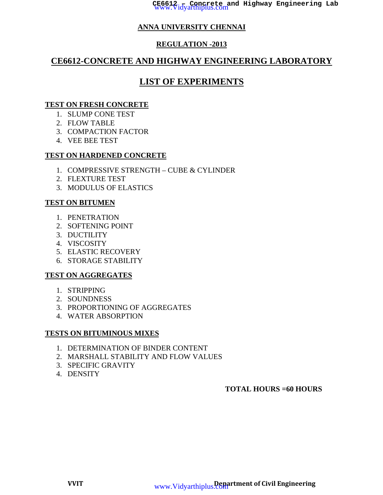## **ANNA UNIVERSITY CHENNAI**

## **REGULATION -2013**

## **CE6612-CONCRETE AND HIGHWAY ENGINEERING LABORATORY**

## **LIST OF EXPERIMENTS**

#### **TEST ON FRESH CONCRETE**

- 1. SLUMP CONE TEST
- 2. FLOW TABLE
- 3. COMPACTION FACTOR
- 4. VEE BEE TEST

## **TEST ON HARDENED CONCRETE**

- 1. COMPRESSIVE STRENGTH CUBE & CYLINDER
- 2. FLEXTURE TEST
- 3. MODULUS OF ELASTICS

## **TEST ON BITUMEN**

- 1. PENETRATION
- 2. SOFTENING POINT
- 3. DUCTILITY
- 4. VISCOSITY
- 5. ELASTIC RECOVERY
- 6. STORAGE STABILITY

## **TEST ON AGGREGATES**

- 1. STRIPPING
- 2. SOUNDNESS
- 3. PROPORTIONING OF AGGREGATES
- 4. WATER ABSORPTION

## **TESTS ON BITUMINOUS MIXES**

- 1. DETERMINATION OF BINDER CONTENT
- 2. MARSHALL STABILITY AND FLOW VALUES
- 3. SPECIFIC GRAVITY
- 4. DENSITY

## **TOTAL HOURS =60 HOURS**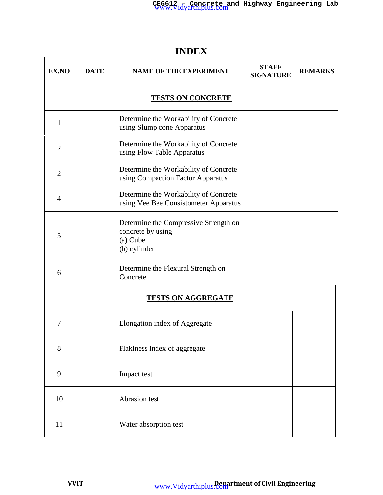**EX.NO** DATE NAME OF THE EXPERIMENT STAFF REMARKS **SIGNATURE TESTS ON CONCRETE** 1 Determine the Workability of Concrete using Slump cone Apparatus 2 Determine the Workability of Concrete using Flow Table Apparatus 2 Determine the Workability of Concrete using Compaction Factor Apparatus <sup>4</sup> Determine the Workability of Concrete using Vee Bee Consistometer Apparatus 5 Determine the Compressive Strength on concrete by using (a) Cube (b) cylinder  $\begin{array}{c|c}\n6 & \text{Determine the Flexural Strength on} \\
\end{array}$ Concrete

## **INDEX**

## **TESTS ON AGGREGATE**

| 7  | Elongation index of Aggregate |  |
|----|-------------------------------|--|
| 8  | Flakiness index of aggregate  |  |
| 9  | Impact test                   |  |
| 10 | Abrasion test                 |  |
| 11 | Water absorption test         |  |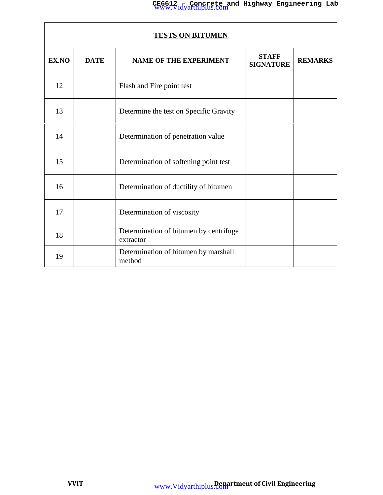| <u>TESTS ON BITUMEN</u> |                                                                                  |                                                     |  |  |  |
|-------------------------|----------------------------------------------------------------------------------|-----------------------------------------------------|--|--|--|
| EX.NO                   | <b>STAFF</b><br><b>DATE</b><br><b>NAME OF THE EXPERIMENT</b><br><b>SIGNATURE</b> |                                                     |  |  |  |
| 12                      |                                                                                  | Flash and Fire point test                           |  |  |  |
| 13                      |                                                                                  | Determine the test on Specific Gravity              |  |  |  |
| 14                      |                                                                                  | Determination of penetration value                  |  |  |  |
| 15                      |                                                                                  | Determination of softening point test               |  |  |  |
| 16                      |                                                                                  | Determination of ductility of bitumen               |  |  |  |
| 17                      |                                                                                  | Determination of viscosity                          |  |  |  |
| 18                      |                                                                                  | Determination of bitumen by centrifuge<br>extractor |  |  |  |
| 19                      |                                                                                  | Determination of bitumen by marshall<br>method      |  |  |  |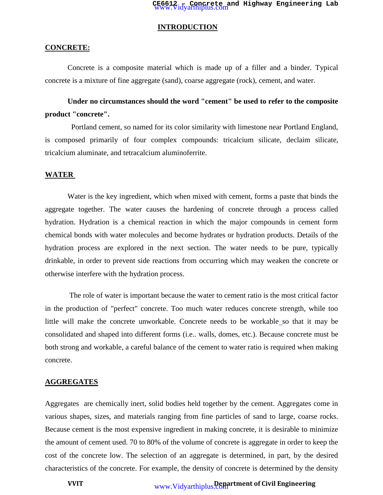#### **INTRODUCTION**

#### **CONCRETE:**

Concrete is a composite material which is made up of a filler and a binder. Typical concrete is a mixture of fine aggregate (sand), coarse aggregate (rock), cement, and water.

## **Under no circumstances should the word "cement" be used to refer to the composite product "concrete".**

Portland cement, so named for its color similarity with limestone near Portland England, is composed primarily of four complex compounds: tricalcium silicate, declaim silicate, tricalcium aluminate, and tetracalcium aluminoferrite.

#### **WATER**

Water is the key ingredient, which when mixed with cement, forms a paste that binds the aggregate together. The water causes the hardening of concrete through a process called hydration. Hydration is a chemical reaction in which the major compounds in cement form chemical bonds with water molecules and become hydrates or hydration products. Details of the hydration process are explored in the next section. The water needs to be pure, typically drinkable, in order to prevent side reactions from occurring which may weaken the concrete or otherwise interfere with the hydration process.

The role of water is important because the water to cement ratio is the most critical factor in the production of "perfect" concrete. Too much water reduces concrete strength, while too little will make the concrete unworkable. Concrete needs to be workable so that it may be consolidated and shaped into different forms (i.e.. walls, domes, etc.). Because concrete must be both strong and workable, a careful balance of the cement to water ratio is required when making concrete.

#### **AGGREGATES**

Aggregates are chemically inert, solid bodies held together by the cement. Aggregates come in various shapes, sizes, and materials ranging from fine particles of sand to large, coarse rocks. Because cement is the most expensive ingredient in making concrete, it is desirable to minimize the amount of cement used. 70 to 80% of the volume of concrete is aggregate in order to keep the cost of the concrete low. The selection of an aggregate is determined, in part, by the desired characteristics of the concrete. For example, the density of concrete is determined by the density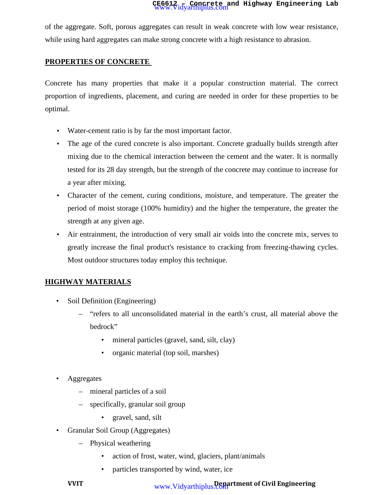of the aggregate. Soft, porous aggregates can result in weak concrete with low wear resistance, while using hard aggregates can make strong concrete with a high resistance to abrasion.

## **PROPERTIES OF CONCRETE**

Concrete has many properties that make it a popular construction material. The correct proportion of ingredients, placement, and curing are needed in order for these properties to be optimal.

- Water-cement ratio is by far the most important factor.
- The age of the cured concrete is also important. Concrete gradually builds strength after mixing due to the chemical interaction between the cement and the water. It is normally tested for its 28 day strength, but the strength of the concrete may continue to increase for a year after mixing.
- Character of the cement, curing conditions, moisture, and temperature. The greater the period of moist storage (100% humidity) and the higher the temperature, the greater the strength at any given age.
- Air entrainment, the introduction of very small air voids into the concrete mix, serves to greatly increase the final product's resistance to cracking from freezing-thawing cycles. Most outdoor structures today employ this technique.

## **HIGHWAY MATERIALS**

- Soil Definition (Engineering)
	- "refers to all unconsolidated material in the earth's crust, all material above the bedrock"
		- mineral particles (gravel, sand, silt, clay)
		- organic material (top soil, marshes)
- **Aggregates** 
	- mineral particles of a soil
	- specifically, granular soil group
		- gravel, sand, silt
- Granular Soil Group (Aggregates)
	- Physical weathering
		- action of frost, water, wind, glaciers, plant/animals
		- particles transported by wind, water, ice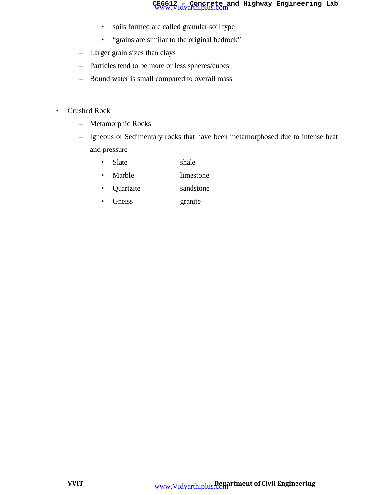- soils formed are called granular soil type
- "grains are similar to the original bedrock"
- Larger grain sizes than clays
- Particles tend to be more or less spheres/cubes
- Bound water is small compared to overall mass
- Crushed Rock
	- Metamorphic Rocks
	- Igneous or Sedimentary rocks that have been metamorphosed due to intense heat and pressure
		- Slate shale
		- Marble limestone
		- Quartzite sandstone
		- Gneiss granite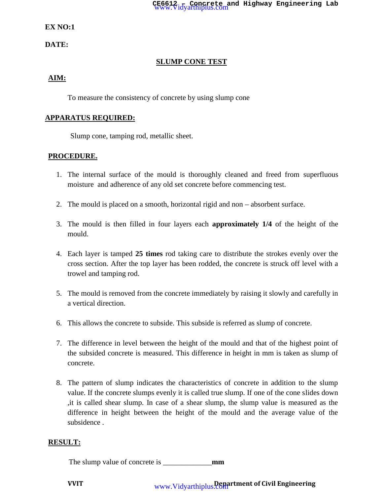#### **EX NO:1**

**DATE:**

## **SLUMP CONE TEST**

#### **AIM:**

To measure the consistency of concrete by using slump cone

#### **APPARATUS REQUIRED:**

Slump cone, tamping rod, metallic sheet.

#### **PROCEDURE.**

- 1. The internal surface of the mould is thoroughly cleaned and freed from superfluous moisture and adherence of any old set concrete before commencing test.
- 2. The mould is placed on a smooth, horizontal rigid and non absorbent surface.
- 3. The mould is then filled in four layers each **approximately 1/4** of the height of the mould.
- 4. Each layer is tamped **25 times** rod taking care to distribute the strokes evenly over the cross section. After the top layer has been rodded, the concrete is struck off level with a trowel and tamping rod.
- 5. The mould is removed from the concrete immediately by raising it slowly and carefully in a vertical direction.
- 6. This allows the concrete to subside. This subside is referred as slump of concrete.
- 7. The difference in level between the height of the mould and that of the highest point of the subsided concrete is measured. This difference in height in mm is taken as slump of concrete.
- 8. The pattern of slump indicates the characteristics of concrete in addition to the slump value. If the concrete slumps evenly it is called true slump. If one of the cone slides down ,it is called shear slump. In case of a shear slump, the slump value is measured as the difference in height between the height of the mould and the average value of the subsidence .

#### **RESULT:**

The slump value of concrete is \_\_\_\_\_\_\_\_\_\_\_\_\_**mm**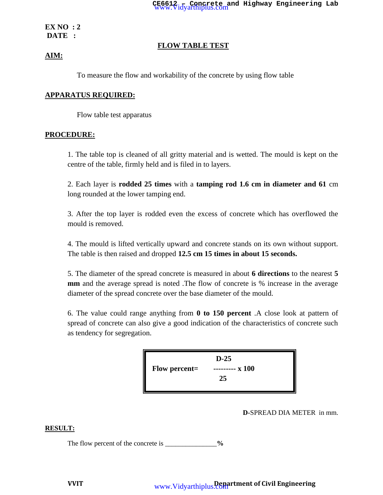**EX NO : 2 DATE :**

#### **FLOW TABLE TEST**

#### **AIM:**

To measure the flow and workability of the concrete by using flow table

#### **APPARATUS REQUIRED:**

Flow table test apparatus

#### **PROCEDURE:**

1. The table top is cleaned of all gritty material and is wetted. The mould is kept on the centre of the table, firmly held and is filed in to layers.

2. Each layer is **rodded 25 times** with a **tamping rod 1.6 cm in diameter and 61** cm long rounded at the lower tamping end.

3. After the top layer is rodded even the excess of concrete which has overflowed the mould is removed.

4. The mould is lifted vertically upward and concrete stands on its own without support. The table is then raised and dropped **12.5 cm 15 times in about 15 seconds.**

5. The diameter of the spread concrete is measured in about **6 directions** to the nearest **5 mm** and the average spread is noted. The flow of concrete is % increase in the average diameter of the spread concrete over the base diameter of the mould.

6. The value could range anything from **0 to 150 percent** .A close look at pattern of spread of concrete can also give a good indication of the characteristics of concrete such as tendency for segregation.



#### **D-**SPREAD DIA METER in mm.

#### **RESULT:**

The flow percent of the concrete is \_\_\_\_\_\_\_\_\_\_\_\_\_\_%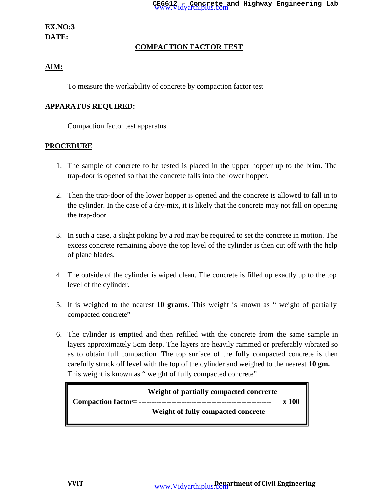## **EX.NO:3 DATE:**

## **COMPACTION FACTOR TEST**

## **AIM:**

To measure the workability of concrete by compaction factor test

## **APPARATUS REQUIRED:**

Compaction factor test apparatus

## **PROCEDURE**

- 1. The sample of concrete to be tested is placed in the upper hopper up to the brim. The trap-door is opened so that the concrete falls into the lower hopper.
- 2. Then the trap-door of the lower hopper is opened and the concrete is allowed to fall in to the cylinder. In the case of a dry-mix, it is likely that the concrete may not fall on opening the trap-door
- 3. In such a case, a slight poking by a rod may be required to set the concrete in motion. The excess concrete remaining above the top level of the cylinder is then cut off with the help of plane blades.
- 4. The outside of the cylinder is wiped clean. The concrete is filled up exactly up to the top level of the cylinder.
- 5. It is weighed to the nearest **10 grams.** This weight is known as " weight of partially compacted concrete"
- 6. The cylinder is emptied and then refilled with the concrete from the same sample in layers approximately 5cm deep. The layers are heavily rammed or preferably vibrated so as to obtain full compaction. The top surface of the fully compacted concrete is then carefully struck off level with the top of the cylinder and weighed to the nearest **10 gm.** This weight is known as " weight of fully compacted concrete"

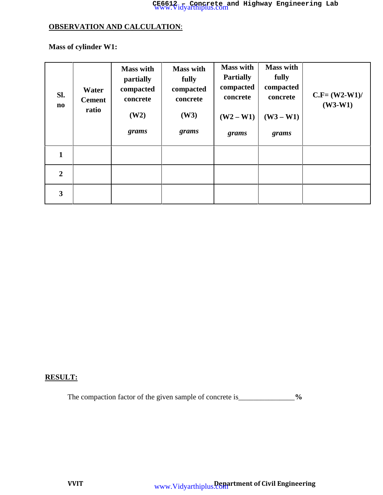## **CE6612 – Concrete and Highway Engineering Lab** www.Vidyarthiplus.com

## **OBSERVATION AND CALCULATION**:

**Mass of cylinder W1:**

| Sl.<br>$\mathbf{n}\mathbf{o}$ | <b>Water</b><br><b>Cement</b><br>ratio | <b>Mass with</b><br>partially<br>compacted<br>concrete<br>(W2)<br>grams | <b>Mass with</b><br>fully<br>compacted<br>concrete<br>(W3)<br>grams | <b>Mass with</b><br><b>Partially</b><br>compacted<br>concrete<br>$(W2-W1)$<br>grams | <b>Mass with</b><br>fully<br>compacted<br>concrete<br>$(W3 - W1)$<br>grams | $C.F = (W2-W1)$<br>$(W3-W1)$ |
|-------------------------------|----------------------------------------|-------------------------------------------------------------------------|---------------------------------------------------------------------|-------------------------------------------------------------------------------------|----------------------------------------------------------------------------|------------------------------|
| 1                             |                                        |                                                                         |                                                                     |                                                                                     |                                                                            |                              |
| $\overline{2}$                |                                        |                                                                         |                                                                     |                                                                                     |                                                                            |                              |
| 3                             |                                        |                                                                         |                                                                     |                                                                                     |                                                                            |                              |

## **RESULT:**

The compaction factor of the given sample of concrete is\_\_\_\_\_\_\_\_\_\_\_\_\_\_\_%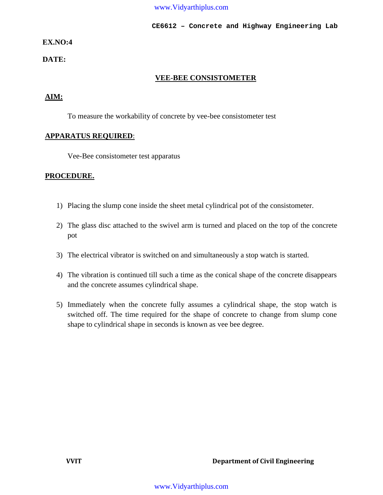**CE6612 – Concrete and Highway Engineering Lab**

## **EX.NO:4**

#### **DATE:**

#### **VEE-BEE CONSISTOMETER**

## **AIM:**

To measure the workability of concrete by vee-bee consistometer test

#### **APPARATUS REQUIRED**:

Vee-Bee consistometer test apparatus

#### **PROCEDURE.**

- 1) Placing the slump cone inside the sheet metal cylindrical pot of the consistometer.
- 2) The glass disc attached to the swivel arm is turned and placed on the top of the concrete pot
- 3) The electrical vibrator is switched on and simultaneously a stop watch is started.
- 4) The vibration is continued till such a time as the conical shape of the concrete disappears and the concrete assumes cylindrical shape.
- 5) Immediately when the concrete fully assumes a cylindrical shape, the stop watch is switched off. The time required for the shape of concrete to change from slump cone shape to cylindrical shape in seconds is known as vee bee degree.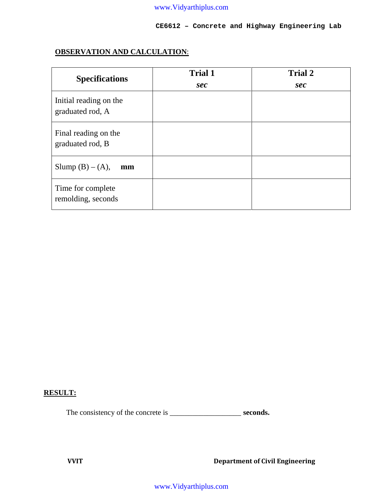**CE6612 – Concrete and Highway Engineering Lab**

## **OBSERVATION AND CALCULATION**:

| <b>Specifications</b>                      | <b>Trial 1</b><br>sec | <b>Trial 2</b><br>sec |
|--------------------------------------------|-----------------------|-----------------------|
| Initial reading on the<br>graduated rod, A |                       |                       |
| Final reading on the<br>graduated rod, B   |                       |                       |
| Slump $(B) - (A)$ ,<br>mm                  |                       |                       |
| Time for complete<br>remolding, seconds    |                       |                       |

## **RESULT:**

The consistency of the concrete is \_\_\_\_\_\_\_\_\_\_\_\_\_\_\_\_\_\_\_\_\_\_\_\_\_\_ **seconds.**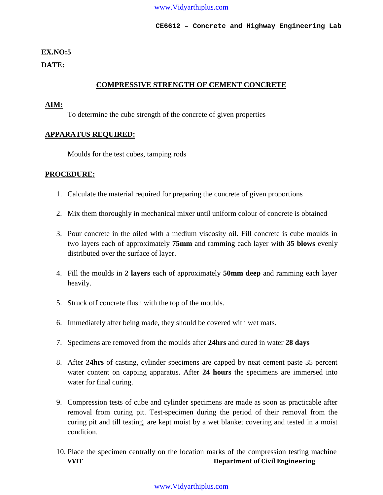#### **EX.NO:5**

#### **DATE:**

## **COMPRESSIVE STRENGTH OF CEMENT CONCRETE**

#### **AIM:**

To determine the cube strength of the concrete of given properties

#### **APPARATUS REQUIRED:**

Moulds for the test cubes, tamping rods

#### **PROCEDURE:**

- 1. Calculate the material required for preparing the concrete of given proportions
- 2. Mix them thoroughly in mechanical mixer until uniform colour of concrete is obtained
- 3. Pour concrete in the oiled with a medium viscosity oil. Fill concrete is cube moulds in two layers each of approximately **75mm** and ramming each layer with **35 blows** evenly distributed over the surface of layer.
- 4. Fill the moulds in **2 layers** each of approximately **50mm deep** and ramming each layer heavily.
- 5. Struck off concrete flush with the top of the moulds.
- 6. Immediately after being made, they should be covered with wet mats.
- 7. Specimens are removed from the moulds after **24hrs** and cured in water **28 days**
- 8. After **24hrs** of casting, cylinder specimens are capped by neat cement paste 35 percent water content on capping apparatus. After **24 hours** the specimens are immersed into water for final curing.
- 9. Compression tests of cube and cylinder specimens are made as soon as practicable after removal from curing pit. Test-specimen during the period of their removal from the curing pit and till testing, are kept moist by a wet blanket covering and tested in a moist condition.
- **VVIT Department of Civil Engineering** 10. Place the specimen centrally on the location marks of the compression testing machine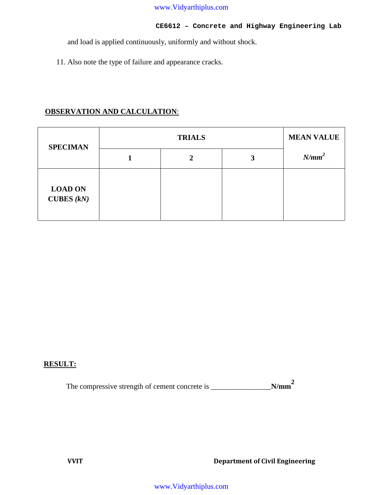#### **CE6612 – Concrete and Highway Engineering Lab**

and load is applied continuously, uniformly and without shock.

11. Also note the type of failure and appearance cracks.

## **OBSERVATION AND CALCULATION**:

| <b>SPECIMAN</b>                       |  | <b>MEAN VALUE</b> |   |          |  |
|---------------------------------------|--|-------------------|---|----------|--|
|                                       |  | 2                 | 3 | $N/mm^2$ |  |
| <b>LOAD ON</b><br><b>CUBES</b> $(kN)$ |  |                   |   |          |  |

## **RESULT:**

The compressive strength of cement concrete is \_\_\_\_\_\_\_\_\_\_\_\_\_\_\_\_**N/mm<sup>2</sup>**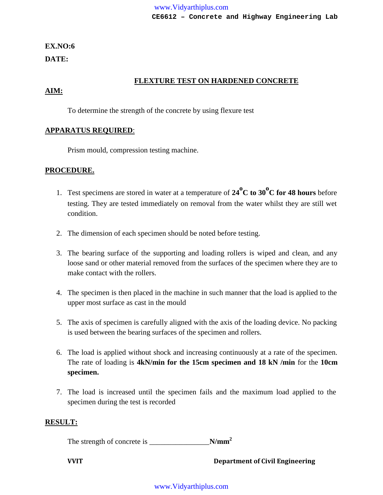## **EX.NO:6 DATE:**

## **FLEXTURE TEST ON HARDENED CONCRETE**

## **AIM:**

To determine the strength of the concrete by using flexure test

#### **APPARATUS REQUIRED**:

Prism mould, compression testing machine.

#### **PROCEDURE.**

- 1. Test specimens are stored in water at a temperature of **<sup>24</sup>oC to 30oC for 48 hours** before testing. They are tested immediately on removal from the water whilst they are still wet condition.
- 2. The dimension of each specimen should be noted before testing.
- 3. The bearing surface of the supporting and loading rollers is wiped and clean, and any loose sand or other material removed from the surfaces of the specimen where they are to make contact with the rollers.
- 4. The specimen is then placed in the machine in such manner that the load is applied to the upper most surface as cast in the mould
- 5. The axis of specimen is carefully aligned with the axis of the loading device. No packing is used between the bearing surfaces of the specimen and rollers.
- 6. The load is applied without shock and increasing continuously at a rate of the specimen. The rate of loading is **4kN/min for the 15cm specimen and 18 kN /min** for the **10cm specimen.**
- 7. The load is increased until the specimen fails and the maximum load applied to the specimen during the test is recorded

## **RESULT:**

The strength of concrete is \_\_\_\_\_\_\_\_\_\_\_\_\_\_\_\_**N/mm<sup>2</sup>**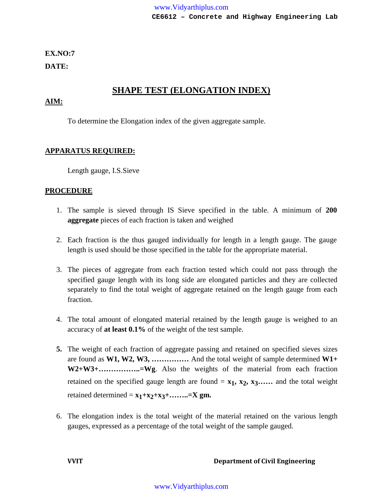**EX.NO:7**

**DATE:**

## **SHAPE TEST (ELONGATION INDEX)**

## **AIM:**

To determine the Elongation index of the given aggregate sample.

## **APPARATUS REQUIRED:**

Length gauge, I.S.Sieve

## **PROCEDURE**

- 1. The sample is sieved through IS Sieve specified in the table. A minimum of **200 aggregate** pieces of each fraction is taken and weighed
- 2. Each fraction is the thus gauged individually for length in a length gauge. The gauge length is used should be those specified in the table for the appropriate material.
- 3. The pieces of aggregate from each fraction tested which could not pass through the specified gauge length with its long side are elongated particles and they are collected separately to find the total weight of aggregate retained on the length gauge from each fraction.
- 4. The total amount of elongated material retained by the length gauge is weighed to an accuracy of **at least 0.1%** of the weight of the test sample.
- **5.** The weight of each fraction of aggregate passing and retained on specified sieves sizes are found as **W1, W2, W3, ……………** And the total weight of sample determined **W1+ W2+W3+……………..=Wg**. Also the weights of the material from each fraction retained on the specified gauge length are found =  $x_1$ ,  $x_2$ ,  $x_3$ …… and the total weight retained determined =  $x_1+x_2+x_3+\ldots+x_m=X$  gm.
- 6. The elongation index is the total weight of the material retained on the various length gauges, expressed as a percentage of the total weight of the sample gauged.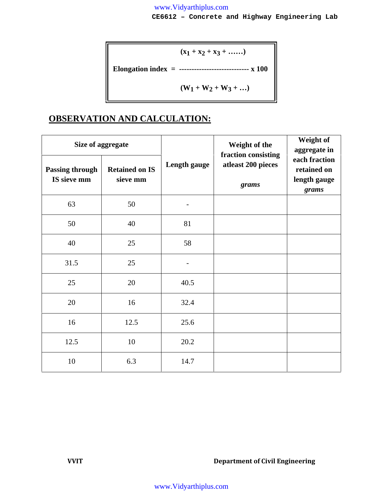**CE6612 – Concrete and Highway Engineering Lab**

(2) 
$$
(x_1 + x_2 + x_3 + \dots)
$$
  
Equation index = 32.222  
  $(W_1 + W_2 + W_3 + \dots)$ 

## **OBSERVATION AND CALCULATION:**

|                                       | Size of aggregate                 |              | Weight of the<br>fraction consisting | Weight of<br>aggregate in                             |  |
|---------------------------------------|-----------------------------------|--------------|--------------------------------------|-------------------------------------------------------|--|
| <b>Passing through</b><br>IS sieve mm | <b>Retained on IS</b><br>sieve mm | Length gauge | atleast 200 pieces<br>grams          | each fraction<br>retained on<br>length gauge<br>grams |  |
| 63                                    | 50                                |              |                                      |                                                       |  |
| 50                                    | 40                                | 81           |                                      |                                                       |  |
| 40                                    | 25                                | 58           |                                      |                                                       |  |
| 31.5                                  | 25                                |              |                                      |                                                       |  |
| 25                                    | 20                                | 40.5         |                                      |                                                       |  |
| 20                                    | 16                                | 32.4         |                                      |                                                       |  |
| 16                                    | 12.5                              | 25.6         |                                      |                                                       |  |
| 12.5                                  | 10                                | 20.2         |                                      |                                                       |  |
| 10                                    | 6.3                               | 14.7         |                                      |                                                       |  |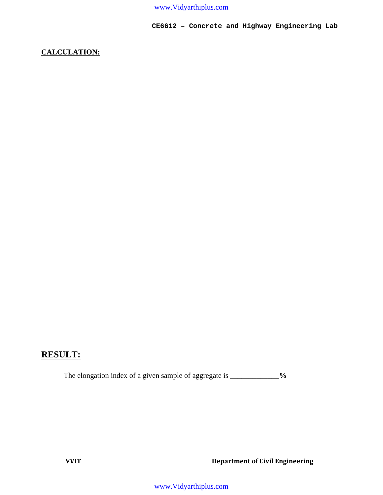**CE6612 – Concrete and Highway Engineering Lab**

## **CALCULATION:**

## **RESULT:**

The elongation index of a given sample of aggregate is \_\_\_\_\_\_\_\_\_\_\_\_\_\_%

**VVIT Department of Civil Engineering**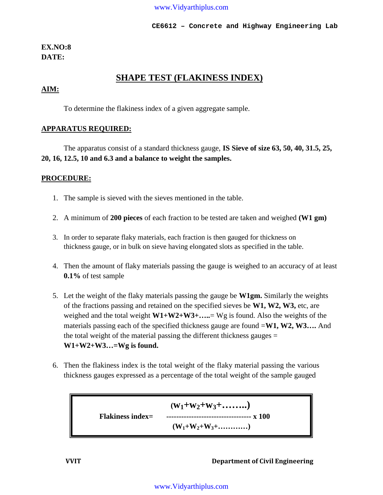**CE6612 – Concrete and Highway Engineering Lab**

## **EX.NO:8 DATE:**

## **SHAPE TEST (FLAKINESS INDEX)**

#### **AIM:**

To determine the flakiness index of a given aggregate sample.

#### **APPARATUS REQUIRED:**

The apparatus consist of a standard thickness gauge, **IS Sieve of size 63, 50, 40, 31.5, 25, 20, 16, 12.5, 10 and 6.3 and a balance to weight the samples.**

#### **PROCEDURE:**

- 1. The sample is sieved with the sieves mentioned in the table.
- 2. A minimum of **200 pieces** of each fraction to be tested are taken and weighed **(W1 gm)**
- 3. In order to separate flaky materials, each fraction is then gauged for thickness on thickness gauge, or in bulk on sieve having elongated slots as specified in the table.
- 4. Then the amount of flaky materials passing the gauge is weighed to an accuracy of at least **0.1%** of test sample
- 5. Let the weight of the flaky materials passing the gauge be **W1gm.** Similarly the weights of the fractions passing and retained on the specified sieves be **W1, W2, W3,** etc, are weighed and the total weight **W1+W2+W3+…..**= Wg is found. Also the weights of the materials passing each of the specified thickness gauge are found =**W1, W2, W3….** And the total weight of the material passing the different thickness gauges = **W1+W2+W3…=Wg is found.**
- 6. Then the flakiness index is the total weight of the flaky material passing the various thickness gauges expressed as a percentage of the total weight of the sample gauged

 $(W_1 + W_2 + W_3 + \ldots)$ **Flakiness index= ---------------------------------- x 100**  $(W_1 + W_2 + W_3 + \ldots + \ldots)$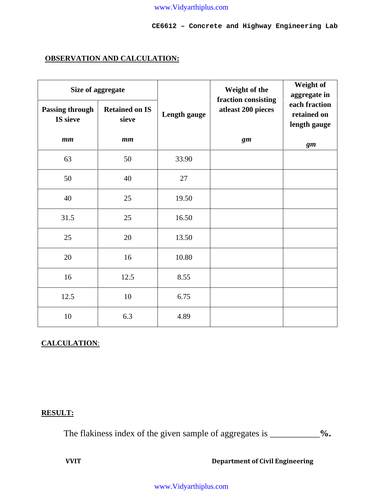**CE6612 – Concrete and Highway Engineering Lab**

## **OBSERVATION AND CALCULATION:**

| Size of aggregate                  |                                |              | Weight of the<br>fraction consisting | Weight of<br>aggregate in                    |
|------------------------------------|--------------------------------|--------------|--------------------------------------|----------------------------------------------|
| <b>Passing through</b><br>IS sieve | <b>Retained on IS</b><br>sieve | Length gauge | atleast 200 pieces                   | each fraction<br>retained on<br>length gauge |
| mm                                 | $\boldsymbol{mm}$              |              | gm                                   | gm                                           |
| 63                                 | 50                             | 33.90        |                                      |                                              |
| 50                                 | 40                             | 27           |                                      |                                              |
| 40                                 | 25                             | 19.50        |                                      |                                              |
| 31.5                               | 25                             | 16.50        |                                      |                                              |
| 25                                 | 20                             | 13.50        |                                      |                                              |
| 20                                 | 16                             | 10.80        |                                      |                                              |
| 16                                 | 12.5                           | 8.55         |                                      |                                              |
| 12.5                               | $10\,$                         | 6.75         |                                      |                                              |
| 10                                 | 6.3                            | 4.89         |                                      |                                              |

## **CALCULATION**:

## **RESULT:**

The flakiness index of the given sample of aggregates is \_\_\_\_\_\_\_\_\_\_\_**%.**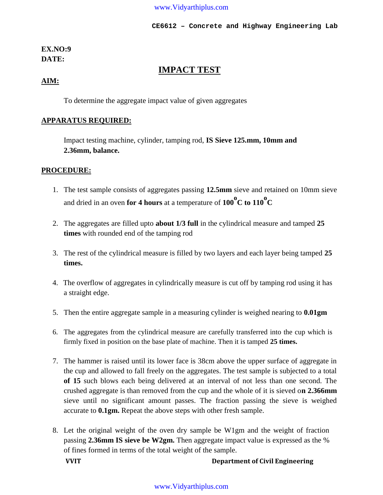## **EX.NO:9 DATE:**

## **IMPACT TEST**

## **AIM:**

To determine the aggregate impact value of given aggregates

## **APPARATUS REQUIRED:**

Impact testing machine, cylinder, tamping rod, **IS Sieve 125.mm, 10mm and 2.36mm, balance.**

## **PROCEDURE:**

- 1. The test sample consists of aggregates passing **12.5mm** sieve and retained on 10mm sieve and dried in an oven for 4 hours at a temperature of  $100^{\circ}$ C to  $110^{\circ}$ C
- 2. The aggregates are filled upto **about 1/3 full** in the cylindrical measure and tamped **25 times** with rounded end of the tamping rod
- 3. The rest of the cylindrical measure is filled by two layers and each layer being tamped **25 times.**
- 4. The overflow of aggregates in cylindrically measure is cut off by tamping rod using it has a straight edge.
- 5. Then the entire aggregate sample in a measuring cylinder is weighed nearing to **0.01gm**
- 6. The aggregates from the cylindrical measure are carefully transferred into the cup which is firmly fixed in position on the base plate of machine. Then it is tamped **25 times.**
- 7. The hammer is raised until its lower face is 38cm above the upper surface of aggregate in the cup and allowed to fall freely on the aggregates. The test sample is subjected to a total **of 15** such blows each being delivered at an interval of not less than one second. The crushed aggregate is than removed from the cup and the whole of it is sieved o**n 2.366mm** sieve until no significant amount passes. The fraction passing the sieve is weighed accurate to **0.1gm.** Repeat the above steps with other fresh sample.
- 8. Let the original weight of the oven dry sample be W1gm and the weight of fraction passing **2.36mm IS sieve be W2gm.** Then aggregate impact value is expressed as the % of fines formed in terms of the total weight of the sample.

**VVIT Department of Civil Engineering**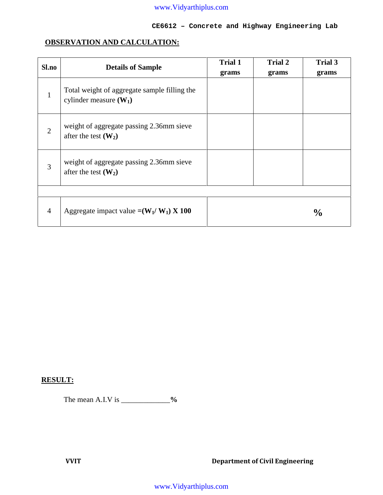#### **CE6612 – Concrete and Highway Engineering Lab**

## **OBSERVATION AND CALCULATION:**

| Sl.no          | <b>Details of Sample</b>                                                 | <b>Trial 1</b><br>grams | <b>Trial 2</b><br>grams | <b>Trial 3</b><br>grams |
|----------------|--------------------------------------------------------------------------|-------------------------|-------------------------|-------------------------|
| $\mathbf{1}$   | Total weight of aggregate sample filling the<br>cylinder measure $(W_1)$ |                         |                         |                         |
| $\overline{2}$ | weight of aggregate passing 2.36mm sieve<br>after the test $(W_2)$       |                         |                         |                         |
| 3              | weight of aggregate passing 2.36mm sieve<br>after the test $(W_2)$       |                         |                         |                         |
|                |                                                                          |                         |                         |                         |
| $\overline{4}$ | Aggregate impact value $=(W_1/W_1) \times 100$                           |                         |                         | $\frac{0}{0}$           |

## **RESULT:**

The mean A.I.V is \_\_\_\_\_\_\_\_\_\_\_\_\_**%**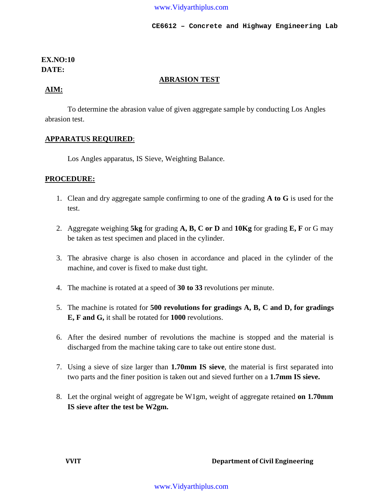## **EX.NO:10 DATE:**

#### **ABRASION TEST**

#### **AIM:**

To determine the abrasion value of given aggregate sample by conducting Los Angles abrasion test.

#### **APPARATUS REQUIRED**:

Los Angles apparatus, IS Sieve, Weighting Balance.

#### **PROCEDURE:**

- 1. Clean and dry aggregate sample confirming to one of the grading **A to G** is used for the test.
- 2. Aggregate weighing **5kg** for grading **A, B, C or D** and **10Kg** for grading **E, F** or G may be taken as test specimen and placed in the cylinder.
- 3. The abrasive charge is also chosen in accordance and placed in the cylinder of the machine, and cover is fixed to make dust tight.
- 4. The machine is rotated at a speed of **30 to 33** revolutions per minute.
- 5. The machine is rotated for **500 revolutions for gradings A, B, C and D, for gradings E, F and G,** it shall be rotated for **1000** revolutions.
- 6. After the desired number of revolutions the machine is stopped and the material is discharged from the machine taking care to take out entire stone dust.
- 7. Using a sieve of size larger than **1.70mm IS sieve**, the material is first separated into two parts and the finer position is taken out and sieved further on a **1.7mm IS sieve.**
- 8. Let the orginal weight of aggregate be W1gm, weight of aggregate retained **on 1.70mm IS sieve after the test be W2gm.**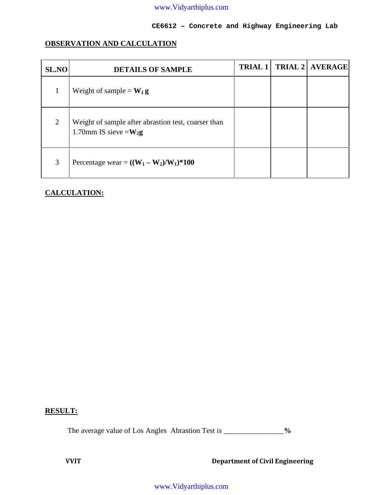#### **CE6612 – Concrete and Highway Engineering Lab**

## **OBSERVATION AND CALCULATION**

| <b>SL.NO</b> | <b>DETAILS OF SAMPLE</b>                                                         | <b>TRIAL 1</b> | <b>TRIAL 2   AVERAGE  </b> |  |
|--------------|----------------------------------------------------------------------------------|----------------|----------------------------|--|
|              | Weight of sample = $W_1 g$                                                       |                |                            |  |
| 2            | Weight of sample after abrastion test, coarser than<br>1.70mm IS sieve = $W_2$ g |                |                            |  |
| 3            | Percentage wear = $((W_1 - W_2)/W_1)*100$                                        |                |                            |  |

#### **CALCULATION:**

## **RESULT:**

The average value of Los Angles Abrastion Test is \_\_\_\_\_\_\_\_\_\_\_\_\_\_\_\_**%**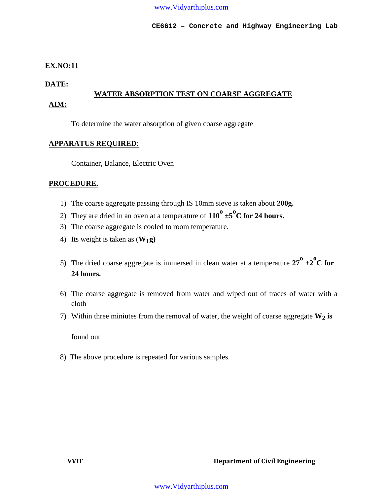#### **EX.NO:11**

**DATE:**

## **WATER ABSORPTION TEST ON COARSE AGGREGATE AIM:**

To determine the water absorption of given coarse aggregate

#### **APPARATUS REQUIRED**:

Container, Balance, Electric Oven

#### **PROCEDURE.**

- 1) The coarse aggregate passing through IS 10mm sieve is taken about **200g.**
- 2) They are dried in an oven at a temperature of  $110^{\circ} \pm 5^{\circ}$ C for 24 hours.
- 3) The coarse aggregate is cooled to room temperature.
- 4) Its weight is taken as (**W1g)**
- 5) The dried coarse aggregate is immersed in clean water at a temperature  $27^{\circ} \pm 2^{\circ}C$  for **24 hours.**
- 6) The coarse aggregate is removed from water and wiped out of traces of water with a cloth
- 7) Within three miniutes from the removal of water, the weight of coarse aggregate **W2 is**

found out

8) The above procedure is repeated for various samples.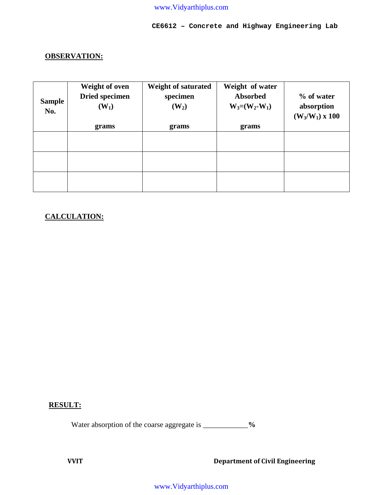## **CE6612 – Concrete and Highway Engineering Lab**

## **OBSERVATION:**

| <b>Sample</b><br>No. | Weight of oven<br><b>Dried specimen</b><br>$(W_1)$ | <b>Weight of saturated</b><br>specimen<br>$(W_2)$ | Weight of water<br>Absorbed<br>$W_3 = (W_2-W_1)$ | % of water<br>absorption<br>$(W_3/W_1)$ x 100 |
|----------------------|----------------------------------------------------|---------------------------------------------------|--------------------------------------------------|-----------------------------------------------|
|                      | grams                                              | grams                                             | grams                                            |                                               |
|                      |                                                    |                                                   |                                                  |                                               |
|                      |                                                    |                                                   |                                                  |                                               |
|                      |                                                    |                                                   |                                                  |                                               |
|                      |                                                    |                                                   |                                                  |                                               |
|                      |                                                    |                                                   |                                                  |                                               |

## **CALCULATION:**

#### **RESULT:**

Water absorption of the coarse aggregate is \_\_\_\_\_\_\_\_\_\_\_\_**%**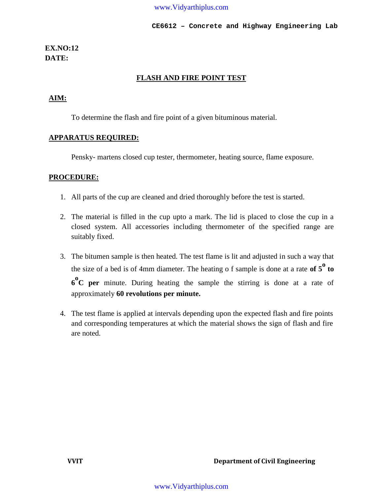## **EX.NO:12 DATE:**

#### **FLASH AND FIRE POINT TEST**

## **AIM:**

To determine the flash and fire point of a given bituminous material.

#### **APPARATUS REQUIRED:**

Pensky- martens closed cup tester, thermometer, heating source, flame exposure.

#### **PROCEDURE:**

- 1. All parts of the cup are cleaned and dried thoroughly before the test is started.
- 2. The material is filled in the cup upto a mark. The lid is placed to close the cup in a closed system. All accessories including thermometer of the specified range are suitably fixed.
- 3. The bitumen sample is then heated. The test flame is lit and adjusted in such a way that the size of a bed is of 4mm diameter. The heating o f sample is done at a rate **of 5<sup>o</sup> to 6 <sup>o</sup>C per** minute. During heating the sample the stirring is done at a rate of approximately **60 revolutions per minute.**
- 4. The test flame is applied at intervals depending upon the expected flash and fire points and corresponding temperatures at which the material shows the sign of flash and fire are noted.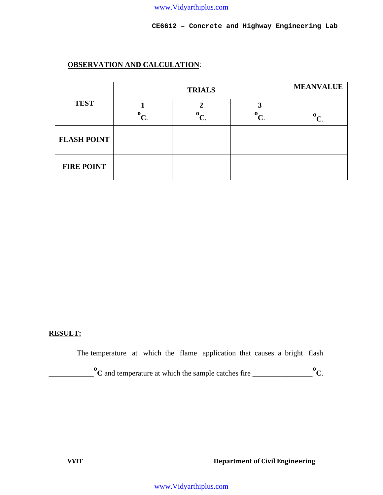## **OBSERVATION AND CALCULATION**:

|                    |  | <b>MEANVALUE</b> |                           |                           |
|--------------------|--|------------------|---------------------------|---------------------------|
| <b>TEST</b>        |  | o                | $\mathbf{0}_{\mathbf{C}}$ | $\mathbf{0}_{\mathbf{C}}$ |
| <b>FLASH POINT</b> |  |                  |                           |                           |
| <b>FIRE POINT</b>  |  |                  |                           |                           |

#### **RESULT:**

The temperature at which the flame application that causes a bright flash

\_\_\_\_\_\_\_\_\_\_\_\_ **<sup>o</sup><sup>C</sup>** and temperature at which the sample catches fire \_\_\_\_\_\_\_\_\_\_\_\_\_\_\_\_**oC**.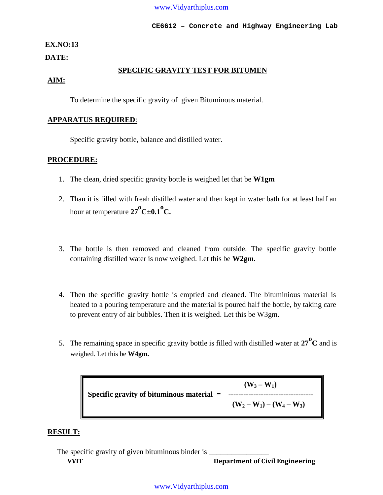#### **CE6612 – Concrete and Highway Engineering Lab**

#### **EX.NO:13**

**DATE:**

#### **SPECIFIC GRAVITY TEST FOR BITUMEN**

#### **AIM:**

To determine the specific gravity of given Bituminous material.

#### **APPARATUS REQUIRED**:

Specific gravity bottle, balance and distilled water.

#### **PROCEDURE:**

- 1. The clean, dried specific gravity bottle is weighed let that be **W1gm**
- 2. Than it is filled with freah distilled water and then kept in water bath for at least half an hour at temperature  $27^{\circ}C \pm 0.1^{\circ}C$ .
- 3. The bottle is then removed and cleaned from outside. The specific gravity bottle containing distilled water is now weighed. Let this be **W2gm.**
- 4. Then the specific gravity bottle is emptied and cleaned. The bituminious material is heated to a pouring temperature and the material is poured half the bottle, by taking care to prevent entry of air bubbles. Then it is weighed. Let this be W3gm.
- 5. The remaining space in specific gravity bottle is filled with distilled water at **<sup>27</sup>o<sup>C</sup>** and is weighed. Let this be **W4gm.**

 $(W_3 - W_1)$ **Specific gravity of bituminous material = ----------------------------------**  $(W_2 - W_1) - (W_4 - W_3)$ 

#### **RESULT:**

**VVIT Department of Civil Engineering** The specific gravity of given bituminous binder is \_\_\_\_\_\_\_\_\_\_\_\_\_\_\_\_\_\_\_\_\_\_\_\_\_\_\_\_\_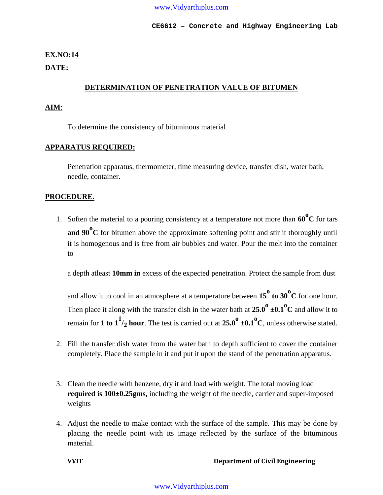#### **EX.NO:14**

**DATE:**

#### **DETERMINATION OF PENETRATION VALUE OF BITUMEN**

#### **AIM**:

To determine the consistency of bituminous material

#### **APPARATUS REQUIRED:**

Penetration apparatus, thermometer, time measuring device, transfer dish, water bath, needle, container.

#### **PROCEDURE.**

1. Soften the material to a pouring consistency at a temperature not more than **<sup>60</sup>o<sup>C</sup>** for tars **and 90o<sup>C</sup>** for bitumen above the approximate softening point and stir it thoroughly until it is homogenous and is free from air bubbles and water. Pour the melt into the container to

a depth atleast **10mm in** excess of the expected penetration. Protect the sample from dust

and allow it to cool in an atmosphere at a temperature between  $15^{\circ}$  to  $30^{\circ}$ C for one hour. Then place it along with the transfer dish in the water bath at  $25.0^{\circ} \pm 0.1^{\circ}C$  and allow it to remain for **1 to**  $1^{1/2}$  **hour**. The test is carried out at  $25.0^{\circ}$  ±0.1°C, unless otherwise stated.

- 2. Fill the transfer dish water from the water bath to depth sufficient to cover the container completely. Place the sample in it and put it upon the stand of the penetration apparatus.
- 3. Clean the needle with benzene, dry it and load with weight. The total moving load **required is 100±0.25gms,** including the weight of the needle, carrier and super-imposed weights
- 4. Adjust the needle to make contact with the surface of the sample. This may be done by placing the needle point with its image reflected by the surface of the bituminous material.

#### **VVIT Department of Civil Engineering**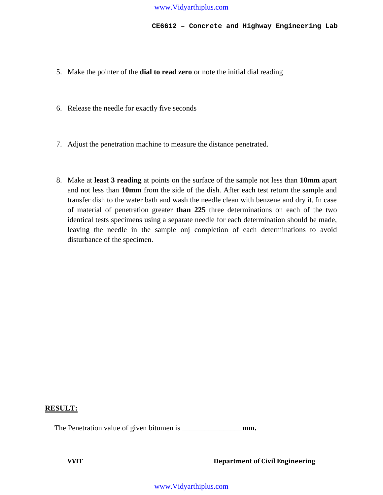- 5. Make the pointer of the **dial to read zero** or note the initial dial reading
- 6. Release the needle for exactly five seconds
- 7. Adjust the penetration machine to measure the distance penetrated.
- 8. Make at **least 3 reading** at points on the surface of the sample not less than **10mm** apart and not less than **10mm** from the side of the dish. After each test return the sample and transfer dish to the water bath and wash the needle clean with benzene and dry it. In case of material of penetration greater **than 225** three determinations on each of the two identical tests specimens using a separate needle for each determination should be made, leaving the needle in the sample onj completion of each determinations to avoid disturbance of the specimen.

## **RESULT:**

The Penetration value of given bitumen is \_\_\_\_\_\_\_\_\_\_\_\_\_\_\_\_**mm.**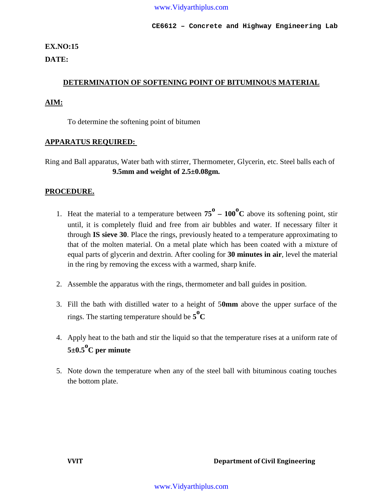**CE6612 – Concrete and Highway Engineering Lab**

## **EX.NO:15**

**DATE:**

## **DETERMINATION OF SOFTENING POINT OF BITUMINOUS MATERIAL**

## **AIM:**

To determine the softening point of bitumen

#### **APPARATUS REQUIRED:**

Ring and Ball apparatus, Water bath with stirrer, Thermometer, Glycerin, etc. Steel balls each of **9.5mm and weight of 2.5±0.08gm.**

#### **PROCEDURE.**

- 1. Heat the material to a temperature between  $75^{\circ}$   $100^{\circ}$ C above its softening point, stir until, it is completely fluid and free from air bubbles and water. If necessary filter it through **IS sieve 30**. Place the rings, previously heated to a temperature approximating to that of the molten material. On a metal plate which has been coated with a mixture of equal parts of glycerin and dextrin. After cooling for **30 minutes in air**, level the material in the ring by removing the excess with a warmed, sharp knife.
- 2. Assemble the apparatus with the rings, thermometer and ball guides in position.
- 3. Fill the bath with distilled water to a height of 5**0mm** above the upper surface of the rings. The starting temperature should be  $\mathbf{5^0 C}$
- 4. Apply heat to the bath and stir the liquid so that the temperature rises at a uniform rate of **5±0.5oC per minute**
- 5. Note down the temperature when any of the steel ball with bituminous coating touches the bottom plate.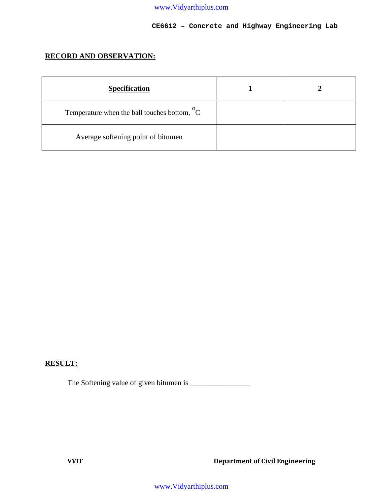#### **CE6612 – Concrete and Highway Engineering Lab**

## **RECORD AND OBSERVATION:**

| <b>Specification</b>                                     |  |
|----------------------------------------------------------|--|
| Temperature when the ball touches bottom, $\mathrm{^0C}$ |  |
| Average softening point of bitumen                       |  |

## **RESULT:**

The Softening value of given bitumen is \_\_\_\_\_\_\_\_\_\_\_\_\_\_\_\_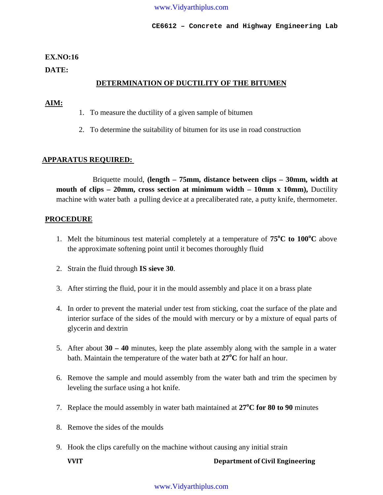#### **EX.NO:16**

**DATE:**

## **DETERMINATION OF DUCTILITY OF THE BITUMEN**

#### **AIM:**

- 1. To measure the ductility of a given sample of bitumen
- 2. To determine the suitability of bitumen for its use in road construction

## **APPARATUS REQUIRED:**

Briquette mould, **(length – 75mm, distance between clips – 30mm, width at mouth of clips – 20mm, cross section at minimum width – 10mm x 10mm),** Ductility machine with water bath a pulling device at a precaliberated rate, a putty knife, thermometer.

#### **PROCEDURE**

- 1. Melt the bituminous test material completely at a temperature of **75<sup>o</sup>C to 100<sup>o</sup>C** above the approximate softening point until it becomes thoroughly fluid
- 2. Strain the fluid through **IS sieve 30**.
- 3. After stirring the fluid, pour it in the mould assembly and place it on a brass plate
- 4. In order to prevent the material under test from sticking, coat the surface of the plate and interior surface of the sides of the mould with mercury or by a mixture of equal parts of glycerin and dextrin
- 5. After about **30 – 40** minutes, keep the plate assembly along with the sample in a water bath. Maintain the temperature of the water bath at **27<sup>o</sup>C** for half an hour.
- 6. Remove the sample and mould assembly from the water bath and trim the specimen by leveling the surface using a hot knife.
- 7. Replace the mould assembly in water bath maintained at **27<sup>o</sup>C for 80 to 90** minutes
- 8. Remove the sides of the moulds
- 9. Hook the clips carefully on the machine without causing any initial strain

**VVIT Department of Civil Engineering**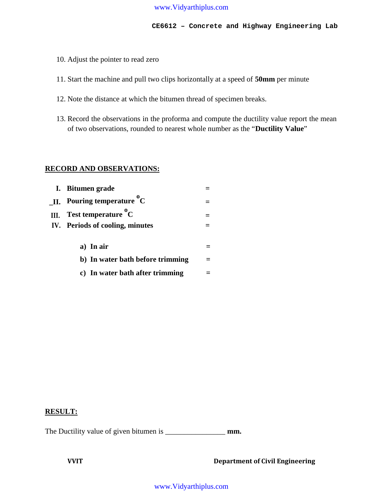- 10. Adjust the pointer to read zero
- 11. Start the machine and pull two clips horizontally at a speed of **50mm** per minute
- 12. Note the distance at which the bitumen thread of specimen breaks.
- 13. Record the observations in the proforma and compute the ductility value report the mean of two observations, rounded to nearest whole number as the "**Ductility Value**"

#### **RECORD AND OBSERVATIONS:**

| I. Bitumen grade                       |  |
|----------------------------------------|--|
| <b>II.</b> Pouring temperature ${}^0C$ |  |
| III. Test temperature ${}^{0}C$        |  |
| IV. Periods of cooling, minutes        |  |
|                                        |  |
| a) In air                              |  |
| b) In water bath before trimming       |  |
| c) In water bath after trimming        |  |

#### **RESULT:**

The Ductility value of given bitumen is \_\_\_\_\_\_\_\_\_\_\_\_\_\_\_\_\_\_\_\_**mm.**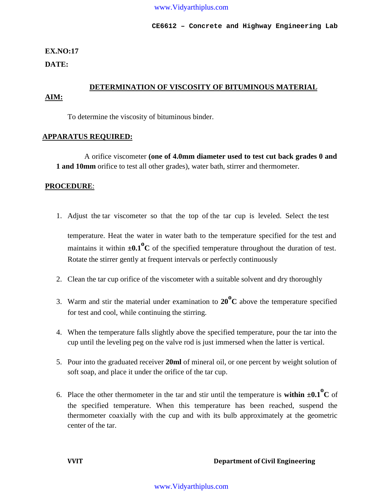## **EX.NO:17**

**DATE:**

## **DETERMINATION OF VISCOSITY OF BITUMINOUS MATERIAL AIM:**

To determine the viscosity of bituminous binder.

#### **APPARATUS REQUIRED:**

A orifice viscometer **(one of 4.0mm diameter used to test cut back grades 0 and 1 and 10mm** orifice to test all other grades), water bath, stirrer and thermometer.

## **PROCEDURE**:

- 1. Adjust the tar viscometer so that the top of the tar cup is leveled. Select the test temperature. Heat the water in water bath to the temperature specified for the test and maintains it within  $\pm 0.1^\circ$ C of the specified temperature throughout the duration of test. Rotate the stirrer gently at frequent intervals or perfectly continuously
- 2. Clean the tar cup orifice of the viscometer with a suitable solvent and dry thoroughly
- 3. Warm and stir the material under examination to **<sup>20</sup>o<sup>C</sup>** above the temperature specified for test and cool, while continuing the stirring.
- 4. When the temperature falls slightly above the specified temperature, pour the tar into the cup until the leveling peg on the valve rod is just immersed when the latter is vertical.
- 5. Pour into the graduated receiver **20ml** of mineral oil, or one percent by weight solution of soft soap, and place it under the orifice of the tar cup.
- 6. Place the other thermometer in the tar and stir until the temperature is **within**  $\pm 0.1^\circ$ **C** of the specified temperature. When this temperature has been reached, suspend the thermometer coaxially with the cup and with its bulb approximately at the geometric center of the tar.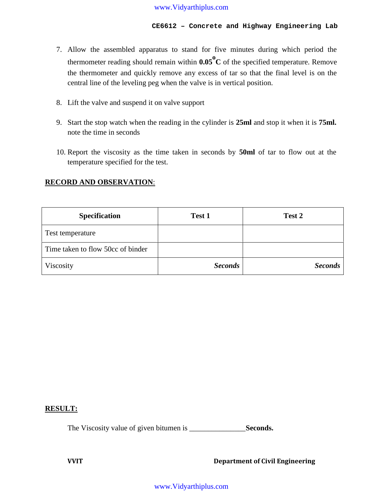- 7. Allow the assembled apparatus to stand for five minutes during which period the thermometer reading should remain within **0.05o<sup>C</sup>** of the specified temperature. Remove the thermometer and quickly remove any excess of tar so that the final level is on the central line of the leveling peg when the valve is in vertical position.
- 8. Lift the valve and suspend it on valve support
- 9. Start the stop watch when the reading in the cylinder is **25ml** and stop it when it is **75ml.** note the time in seconds
- 10. Report the viscosity as the time taken in seconds by **50ml** of tar to flow out at the temperature specified for the test.

#### **RECORD AND OBSERVATION**:

| <b>Specification</b>              | Test 1         | Test 2         |
|-----------------------------------|----------------|----------------|
| Test temperature                  |                |                |
| Time taken to flow 50cc of binder |                |                |
| Viscosity                         | <b>Seconds</b> | <b>Seconds</b> |

#### **RESULT:**

The Viscosity value of given bitumen is \_\_\_\_\_\_\_\_\_\_\_\_\_\_\_**Seconds.**

**VVIT Department of Civil Engineering**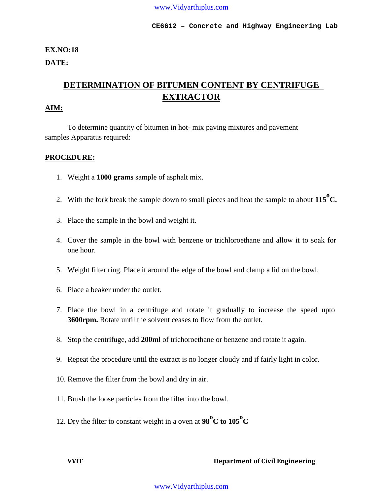## **EX.NO:18 DATE:**

## **DETERMINATION OF BITUMEN CONTENT BY CENTRIFUGE EXTRACTOR**

## **AIM:**

To determine quantity of bitumen in hot- mix paving mixtures and pavement samples Apparatus required:

#### **PROCEDURE:**

- 1. Weight a **1000 grams** sample of asphalt mix.
- 2. With the fork break the sample down to small pieces and heat the sample to about **<sup>115</sup>oC.**
- 3. Place the sample in the bowl and weight it.
- 4. Cover the sample in the bowl with benzene or trichloroethane and allow it to soak for one hour.
- 5. Weight filter ring. Place it around the edge of the bowl and clamp a lid on the bowl.
- 6. Place a beaker under the outlet.
- 7. Place the bowl in a centrifuge and rotate it gradually to increase the speed upto **3600rpm.** Rotate until the solvent ceases to flow from the outlet.
- 8. Stop the centrifuge, add **200ml** of trichoroethane or benzene and rotate it again.
- 9. Repeat the procedure until the extract is no longer cloudy and if fairly light in color.
- 10. Remove the filter from the bowl and dry in air.
- 11. Brush the loose particles from the filter into the bowl.
- 12. Dry the filter to constant weight in a oven at  $98^{\circ}$ C to  $105^{\circ}$ C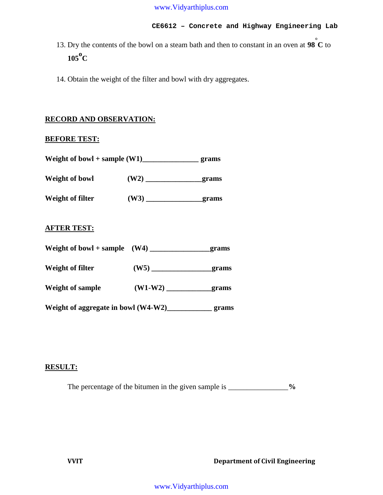- 13. Dry the contents of the bowl on a steam bath and then to constant in an oven at **<sup>98</sup>°<sup>C</sup>** to **<sup>105</sup>o<sup>C</sup>**
- 14. Obtain the weight of the filter and bowl with dry aggregates.

#### **RECORD AND OBSERVATION:**

#### **BEFORE TEST:**

| Weight of bowl + sample (W1)_________________________ grams |              |  |
|-------------------------------------------------------------|--------------|--|
| Weight of bowl                                              |              |  |
| Weight of filter                                            |              |  |
| <b>AFTER TEST:</b>                                          |              |  |
|                                                             |              |  |
| <b>Weight of filter</b>                                     | $(W5)$ grams |  |
|                                                             |              |  |
|                                                             |              |  |

#### **RESULT:**

The percentage of the bitumen in the given sample is \_\_\_\_\_\_\_\_\_\_\_\_\_\_\_\_\_%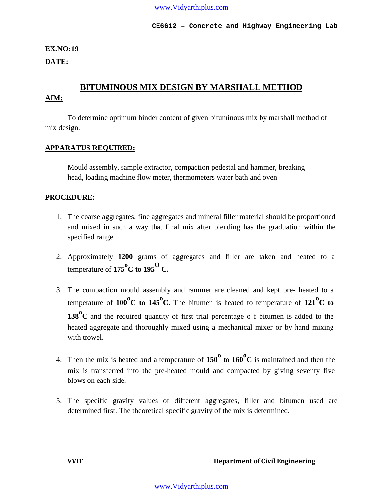## **EX.NO:19**

**DATE:**

## **BITUMINOUS MIX DESIGN BY MARSHALL METHOD**

## **AIM:**

To determine optimum binder content of given bituminous mix by marshall method of mix design.

#### **APPARATUS REQUIRED:**

Mould assembly, sample extractor, compaction pedestal and hammer, breaking head, loading machine flow meter, thermometers water bath and oven

#### **PROCEDURE:**

- 1. The coarse aggregates, fine aggregates and mineral filler material should be proportioned and mixed in such a way that final mix after blending has the graduation within the specified range.
- 2. Approximately **1200** grams of aggregates and filler are taken and heated to a temperature of  $175^{\circ}$ C to  $195^{\circ}$  C.
- 3. The compaction mould assembly and rammer are cleaned and kept pre- heated to a temperature of  $100^{\circ}$ C to  $145^{\circ}$ C. The bitumen is heated to temperature of  $121^{\circ}$ C to **138<sup><sup>o</sup>C**</sup> and the required quantity of first trial percentage of bitumen is added to the heated aggregate and thoroughly mixed using a mechanical mixer or by hand mixing with trowel.
- 4. Then the mix is heated and a temperature of **<sup>150</sup><sup>o</sup> to 160o<sup>C</sup>** is maintained and then the mix is transferred into the pre-heated mould and compacted by giving seventy five blows on each side.
- 5. The specific gravity values of different aggregates, filler and bitumen used are determined first. The theoretical specific gravity of the mix is determined.